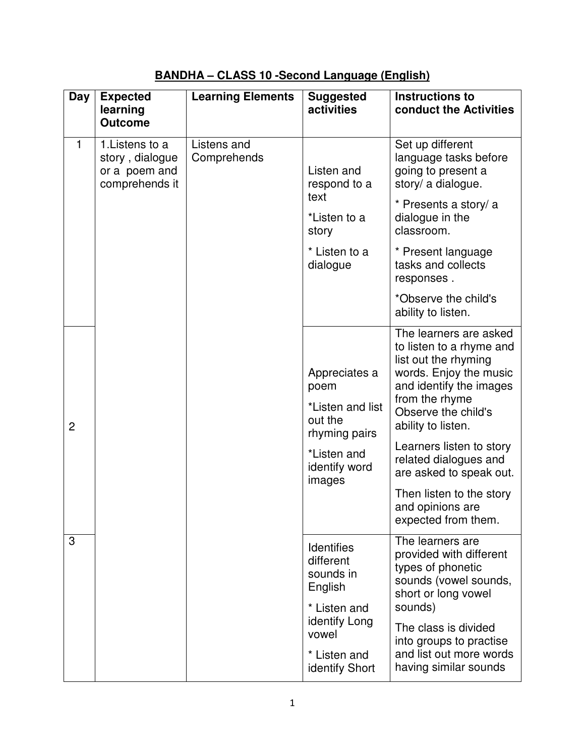## **BANDHA – CLASS 10 -Second Language (English)**

| Day            | <b>Expected</b><br>learning<br><b>Outcome</b>                         | <b>Learning Elements</b>   | <b>Suggested</b><br>activities                                                                                                     | <b>Instructions to</b><br>conduct the Activities                                                                                                                                                                                                                                                                                                      |
|----------------|-----------------------------------------------------------------------|----------------------------|------------------------------------------------------------------------------------------------------------------------------------|-------------------------------------------------------------------------------------------------------------------------------------------------------------------------------------------------------------------------------------------------------------------------------------------------------------------------------------------------------|
| 1              | 1. Listens to a<br>story, dialogue<br>or a poem and<br>comprehends it | Listens and<br>Comprehends | Listen and<br>respond to a                                                                                                         | Set up different<br>language tasks before<br>going to present a<br>story/ a dialogue.                                                                                                                                                                                                                                                                 |
|                |                                                                       |                            | text<br>*Listen to a<br>story                                                                                                      | * Presents a story/ a<br>dialogue in the<br>classroom.                                                                                                                                                                                                                                                                                                |
|                |                                                                       |                            | * Listen to a<br>dialogue                                                                                                          | * Present language<br>tasks and collects<br>responses.                                                                                                                                                                                                                                                                                                |
|                |                                                                       |                            |                                                                                                                                    | *Observe the child's<br>ability to listen.                                                                                                                                                                                                                                                                                                            |
| $\overline{2}$ |                                                                       |                            | Appreciates a<br>poem<br>*Listen and list<br>out the<br>rhyming pairs<br>*Listen and<br>identify word<br>images                    | The learners are asked<br>to listen to a rhyme and<br>list out the rhyming<br>words. Enjoy the music<br>and identify the images<br>from the rhyme<br>Observe the child's<br>ability to listen.<br>Learners listen to story<br>related dialogues and<br>are asked to speak out.<br>Then listen to the story<br>and opinions are<br>expected from them. |
| 3              |                                                                       |                            | <b>Identifies</b><br>different<br>sounds in<br>English<br>* Listen and<br>identify Long<br>vowel<br>* Listen and<br>identify Short | The learners are<br>provided with different<br>types of phonetic<br>sounds (vowel sounds,<br>short or long vowel<br>sounds)<br>The class is divided<br>into groups to practise<br>and list out more words<br>having similar sounds                                                                                                                    |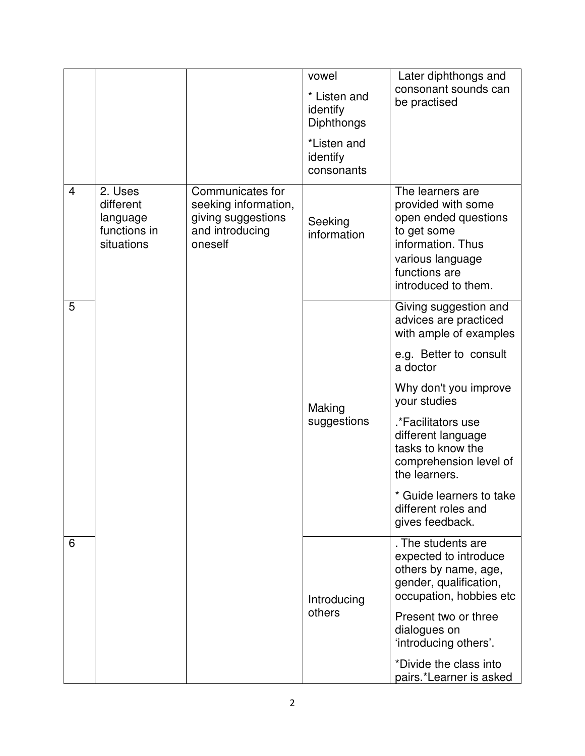|                |                                                                |                                                                                              | vowel<br>* Listen and<br>identify<br><b>Diphthongs</b><br>*Listen and<br>identify<br>consonants | Later diphthongs and<br>consonant sounds can<br>be practised                                                                                                   |
|----------------|----------------------------------------------------------------|----------------------------------------------------------------------------------------------|-------------------------------------------------------------------------------------------------|----------------------------------------------------------------------------------------------------------------------------------------------------------------|
| $\overline{4}$ | 2. Uses<br>different<br>language<br>functions in<br>situations | Communicates for<br>seeking information,<br>giving suggestions<br>and introducing<br>oneself | Seeking<br>information                                                                          | The learners are<br>provided with some<br>open ended questions<br>to get some<br>information. Thus<br>various language<br>functions are<br>introduced to them. |
| 5              |                                                                |                                                                                              |                                                                                                 | Giving suggestion and<br>advices are practiced<br>with ample of examples                                                                                       |
|                |                                                                |                                                                                              |                                                                                                 | e.g. Better to consult<br>a doctor                                                                                                                             |
|                |                                                                |                                                                                              | Making                                                                                          | Why don't you improve<br>your studies                                                                                                                          |
|                |                                                                |                                                                                              | suggestions                                                                                     | .*Facilitators use<br>different language<br>tasks to know the<br>comprehension level of<br>the learners.                                                       |
|                |                                                                |                                                                                              |                                                                                                 | * Guide learners to take<br>different roles and<br>gives feedback.                                                                                             |
| 6              |                                                                |                                                                                              | Introducing                                                                                     | . The students are<br>expected to introduce<br>others by name, age,<br>gender, qualification,<br>occupation, hobbies etc                                       |
|                |                                                                |                                                                                              | others                                                                                          | Present two or three<br>dialogues on<br>'introducing others'.                                                                                                  |
|                |                                                                |                                                                                              |                                                                                                 | *Divide the class into<br>pairs.*Learner is asked                                                                                                              |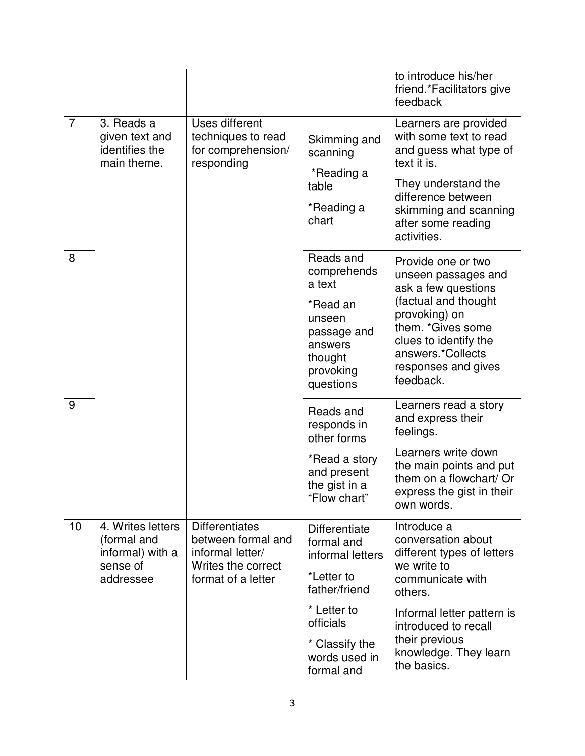|                |                                                                               |                                                                                                             |                                                                                                                                                                    | to introduce his/her<br>friend.*Facilitators give<br>feedback                                                                                                                                                                 |
|----------------|-------------------------------------------------------------------------------|-------------------------------------------------------------------------------------------------------------|--------------------------------------------------------------------------------------------------------------------------------------------------------------------|-------------------------------------------------------------------------------------------------------------------------------------------------------------------------------------------------------------------------------|
| $\overline{7}$ | 3. Reads a<br>given text and<br>identifies the<br>main theme.                 | <b>Uses different</b><br>techniques to read<br>for comprehension/<br>responding                             | Skimming and<br>scanning<br>*Reading a<br>table<br>*Reading a<br>chart                                                                                             | Learners are provided<br>with some text to read<br>and guess what type of<br>text it is.<br>They understand the<br>difference between<br>skimming and scanning<br>after some reading<br>activities.                           |
| 8              |                                                                               |                                                                                                             | Reads and<br>comprehends<br>a text<br>*Read an<br>unseen<br>passage and<br>answers<br>thought<br>provoking<br>questions                                            | Provide one or two<br>unseen passages and<br>ask a few questions<br>(factual and thought<br>provoking) on<br>them. *Gives some<br>clues to identify the<br>answers.*Collects<br>responses and gives<br>feedback.              |
| 9              |                                                                               |                                                                                                             | Reads and<br>responds in<br>other forms<br>*Read a story<br>and present<br>the gist in a<br>"Flow chart"                                                           | Learners read a story<br>and express their<br>feelings.<br>Learners write down<br>the main points and put<br>them on a flowchart/ Or<br>express the gist in their<br>own words.                                               |
| 10             | 4. Writes letters<br>(formal and<br>informal) with a<br>sense of<br>addressee | <b>Differentiates</b><br>between formal and<br>informal letter/<br>Writes the correct<br>format of a letter | <b>Differentiate</b><br>formal and<br>informal letters<br>*Letter to<br>father/friend<br>* Letter to<br>officials<br>* Classify the<br>words used in<br>formal and | Introduce a<br>conversation about<br>different types of letters<br>we write to<br>communicate with<br>others.<br>Informal letter pattern is<br>introduced to recall<br>their previous<br>knowledge. They learn<br>the basics. |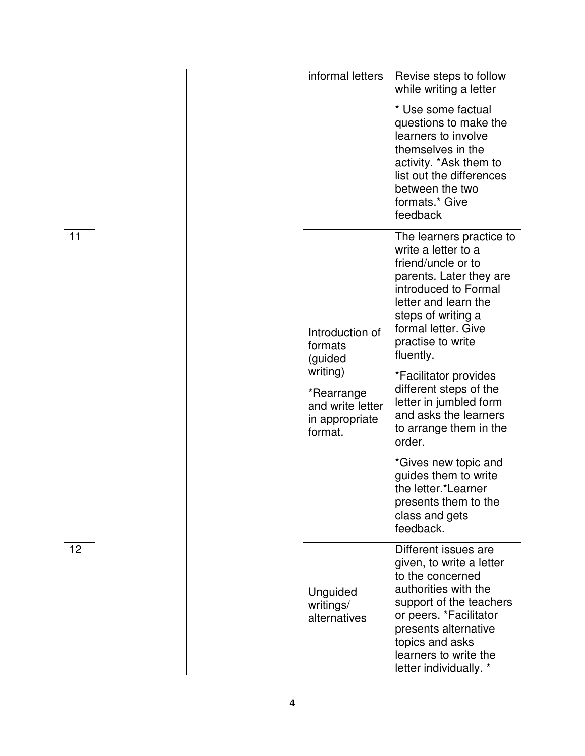|    | informal letters                                                                                                 | Revise steps to follow<br>while writing a letter                                                                                                                                                                                                                                                                                                                                                                                                 |
|----|------------------------------------------------------------------------------------------------------------------|--------------------------------------------------------------------------------------------------------------------------------------------------------------------------------------------------------------------------------------------------------------------------------------------------------------------------------------------------------------------------------------------------------------------------------------------------|
|    |                                                                                                                  | * Use some factual<br>questions to make the<br>learners to involve<br>themselves in the<br>activity. *Ask them to<br>list out the differences<br>between the two<br>formats.* Give<br>feedback                                                                                                                                                                                                                                                   |
| 11 | Introduction of<br>formats<br>(guided<br>writing)<br>*Rearrange<br>and write letter<br>in appropriate<br>format. | The learners practice to<br>write a letter to a<br>friend/uncle or to<br>parents. Later they are<br>introduced to Formal<br>letter and learn the<br>steps of writing a<br>formal letter. Give<br>practise to write<br>fluently.<br>*Facilitator provides<br>different steps of the<br>letter in jumbled form<br>and asks the learners<br>to arrange them in the<br>order.<br>*Gives new topic and<br>guides them to write<br>the letter.*Learner |
|    |                                                                                                                  | presents them to the<br>class and gets<br>feedback.                                                                                                                                                                                                                                                                                                                                                                                              |
| 12 | Unguided<br>writings/<br>alternatives                                                                            | Different issues are<br>given, to write a letter<br>to the concerned<br>authorities with the<br>support of the teachers<br>or peers. *Facilitator<br>presents alternative<br>topics and asks<br>learners to write the<br>letter individually. *                                                                                                                                                                                                  |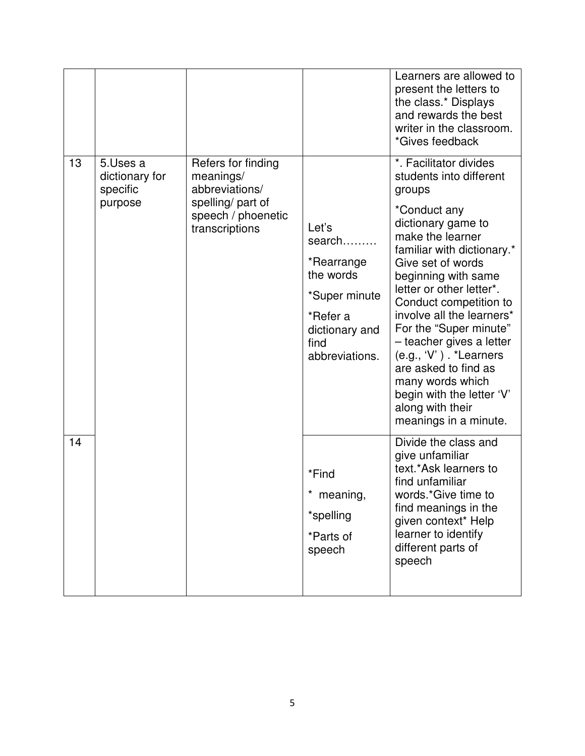|    |                                                   |                                                                                                                |                                                                                                                     | Learners are allowed to<br>present the letters to<br>the class.* Displays<br>and rewards the best<br>writer in the classroom.<br>*Gives feedback                                                                                                                                                                                                                                                                                                                                            |
|----|---------------------------------------------------|----------------------------------------------------------------------------------------------------------------|---------------------------------------------------------------------------------------------------------------------|---------------------------------------------------------------------------------------------------------------------------------------------------------------------------------------------------------------------------------------------------------------------------------------------------------------------------------------------------------------------------------------------------------------------------------------------------------------------------------------------|
| 13 | 5.Uses a<br>dictionary for<br>specific<br>purpose | Refers for finding<br>meanings/<br>abbreviations/<br>spelling/ part of<br>speech / phoenetic<br>transcriptions | Let's<br>search<br>*Rearrange<br>the words<br>*Super minute<br>*Refer a<br>dictionary and<br>find<br>abbreviations. | *. Facilitator divides<br>students into different<br>groups<br>*Conduct any<br>dictionary game to<br>make the learner<br>familiar with dictionary.*<br>Give set of words<br>beginning with same<br>letter or other letter*.<br>Conduct competition to<br>involve all the learners*<br>For the "Super minute"<br>- teacher gives a letter<br>$(e.g., 'V')$ . *Learners<br>are asked to find as<br>many words which<br>begin with the letter 'V'<br>along with their<br>meanings in a minute. |
| 14 |                                                   |                                                                                                                | *Find<br>* meaning,<br>*spelling<br>*Parts of<br>speech                                                             | Divide the class and<br>give unfamiliar<br>text.*Ask learners to<br>find unfamiliar<br>words.*Give time to<br>find meanings in the<br>given context* Help<br>learner to identify<br>different parts of<br>speech                                                                                                                                                                                                                                                                            |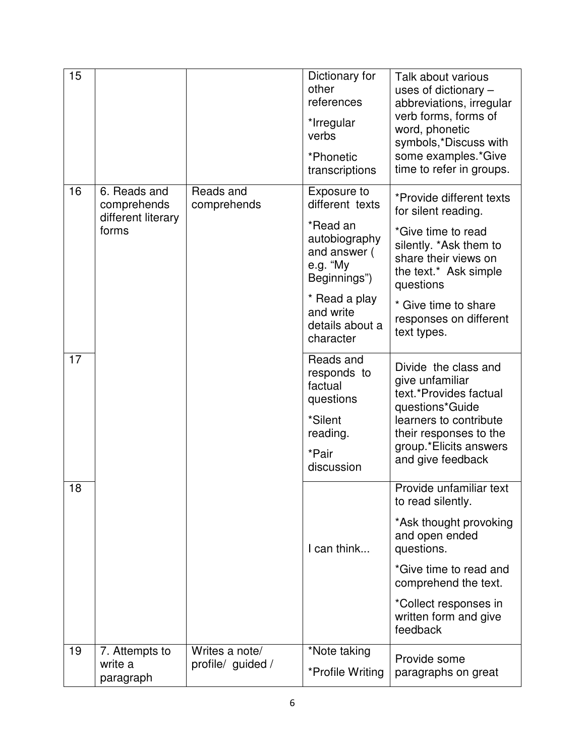| 15 |                                                            |                                     | Dictionary for<br>other<br>references<br>*Irregular<br>verbs<br>*Phonetic<br>transcriptions                                                                           | Talk about various<br>uses of dictionary -<br>abbreviations, irregular<br>verb forms, forms of<br>word, phonetic<br>symbols,*Discuss with<br>some examples.*Give<br>time to refer in groups.                                   |
|----|------------------------------------------------------------|-------------------------------------|-----------------------------------------------------------------------------------------------------------------------------------------------------------------------|--------------------------------------------------------------------------------------------------------------------------------------------------------------------------------------------------------------------------------|
| 16 | 6. Reads and<br>comprehends<br>different literary<br>forms | Reads and<br>comprehends            | Exposure to<br>different texts<br>*Read an<br>autobiography<br>and answer (<br>e.g. "My<br>Beginnings")<br>* Read a play<br>and write<br>details about a<br>character | *Provide different texts<br>for silent reading.<br>*Give time to read<br>silently. *Ask them to<br>share their views on<br>the text.* Ask simple<br>questions<br>* Give time to share<br>responses on different<br>text types. |
| 17 |                                                            |                                     | Reads and<br>responds to<br>factual<br>questions<br>*Silent<br>reading.<br>*Pair<br>discussion                                                                        | Divide the class and<br>give unfamiliar<br>text.*Provides factual<br>questions*Guide<br>learners to contribute<br>their responses to the<br>group.*Elicits answers<br>and give feedback                                        |
| 18 |                                                            |                                     | I can think                                                                                                                                                           | Provide unfamiliar text<br>to read silently.<br>*Ask thought provoking<br>and open ended<br>questions.<br>*Give time to read and<br>comprehend the text.<br>*Collect responses in<br>written form and give<br>feedback         |
| 19 | 7. Attempts to<br>write a<br>paragraph                     | Writes a note/<br>profile/ guided / | *Note taking<br>*Profile Writing                                                                                                                                      | Provide some<br>paragraphs on great                                                                                                                                                                                            |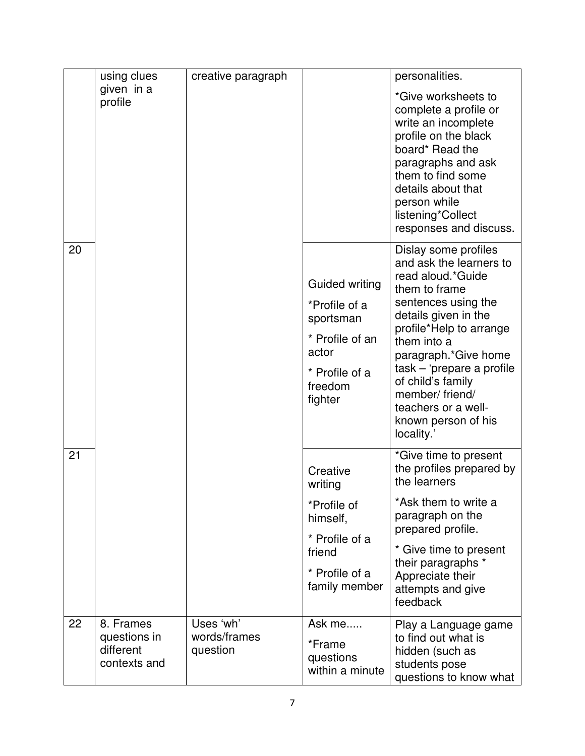|    | using clues                                            | creative paragraph                    |                                                                                                                  | personalities.                                                                                                                                                                                                                                                                                                                         |
|----|--------------------------------------------------------|---------------------------------------|------------------------------------------------------------------------------------------------------------------|----------------------------------------------------------------------------------------------------------------------------------------------------------------------------------------------------------------------------------------------------------------------------------------------------------------------------------------|
|    | given in a<br>profile                                  |                                       |                                                                                                                  | *Give worksheets to<br>complete a profile or<br>write an incomplete<br>profile on the black<br>board* Read the<br>paragraphs and ask<br>them to find some<br>details about that<br>person while<br>listening*Collect<br>responses and discuss.                                                                                         |
| 20 |                                                        |                                       | Guided writing<br>*Profile of a<br>sportsman<br>* Profile of an<br>actor<br>* Profile of a<br>freedom<br>fighter | Dislay some profiles<br>and ask the learners to<br>read aloud.*Guide<br>them to frame<br>sentences using the<br>details given in the<br>profile*Help to arrange<br>them into a<br>paragraph.*Give home<br>task – 'prepare a profile<br>of child's family<br>member/friend/<br>teachers or a well-<br>known person of his<br>locality.' |
| 21 |                                                        |                                       | Creative<br>writing                                                                                              | *Give time to present<br>the profiles prepared by<br>the learners                                                                                                                                                                                                                                                                      |
|    |                                                        |                                       | *Profile of<br>himself,                                                                                          | *Ask them to write a<br>paragraph on the<br>prepared profile.                                                                                                                                                                                                                                                                          |
|    |                                                        |                                       | * Profile of a<br>friend                                                                                         | * Give time to present<br>their paragraphs *                                                                                                                                                                                                                                                                                           |
|    |                                                        |                                       | * Profile of a<br>family member                                                                                  | Appreciate their<br>attempts and give<br>feedback                                                                                                                                                                                                                                                                                      |
| 22 | 8. Frames<br>questions in<br>different<br>contexts and | Uses 'wh'<br>words/frames<br>question | Ask me<br>*Frame<br>questions<br>within a minute                                                                 | Play a Language game<br>to find out what is<br>hidden (such as<br>students pose<br>questions to know what                                                                                                                                                                                                                              |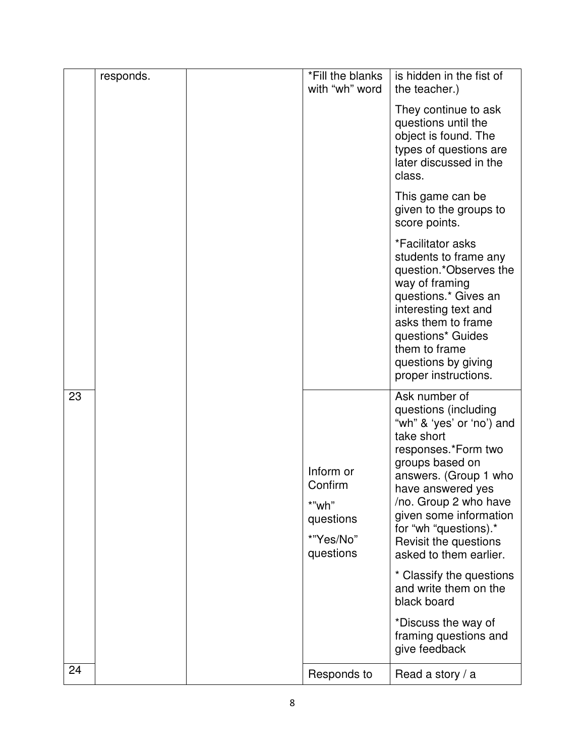| responds. | *Fill the blanks<br>with "wh" word                                   | is hidden in the fist of<br>the teacher.)                                                                                                                                                                                                                                                               |
|-----------|----------------------------------------------------------------------|---------------------------------------------------------------------------------------------------------------------------------------------------------------------------------------------------------------------------------------------------------------------------------------------------------|
|           |                                                                      | They continue to ask<br>questions until the<br>object is found. The<br>types of questions are<br>later discussed in the<br>class.                                                                                                                                                                       |
|           |                                                                      | This game can be<br>given to the groups to<br>score points.                                                                                                                                                                                                                                             |
|           |                                                                      | *Facilitator asks<br>students to frame any<br>question.*Observes the<br>way of framing<br>questions.* Gives an<br>interesting text and<br>asks them to frame<br>questions* Guides<br>them to frame<br>questions by giving<br>proper instructions.                                                       |
| 23        | Inform or<br>Confirm<br>*"wh"<br>questions<br>*"Yes/No"<br>questions | Ask number of<br>questions (including<br>"wh" & 'yes' or 'no') and<br>take short<br>responses.*Form two<br>groups based on<br>answers. (Group 1 who<br>have answered yes<br>/no. Group 2 who have<br>given some information<br>for "wh "questions).*<br>Revisit the questions<br>asked to them earlier. |
|           |                                                                      | * Classify the questions<br>and write them on the<br>black board                                                                                                                                                                                                                                        |
|           |                                                                      | *Discuss the way of<br>framing questions and<br>give feedback                                                                                                                                                                                                                                           |
| 24        | Responds to                                                          | Read a story / a                                                                                                                                                                                                                                                                                        |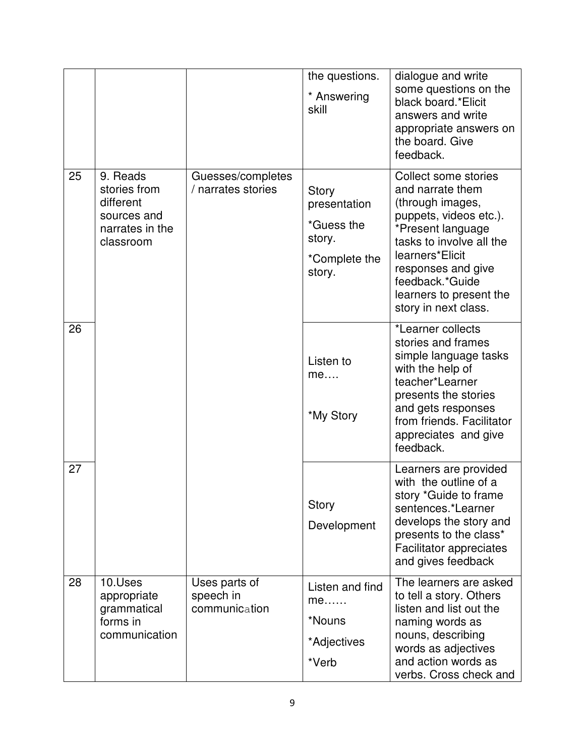|    |                                                                                      |                                             | the questions.<br>* Answering<br>skill                                          | dialogue and write<br>some questions on the<br>black board.*Elicit<br>answers and write<br>appropriate answers on<br>the board. Give<br>feedback.                                                                                                      |
|----|--------------------------------------------------------------------------------------|---------------------------------------------|---------------------------------------------------------------------------------|--------------------------------------------------------------------------------------------------------------------------------------------------------------------------------------------------------------------------------------------------------|
| 25 | 9. Reads<br>stories from<br>different<br>sources and<br>narrates in the<br>classroom | Guesses/completes<br>/ narrates stories     | <b>Story</b><br>presentation<br>*Guess the<br>story.<br>*Complete the<br>story. | Collect some stories<br>and narrate them<br>(through images,<br>puppets, videos etc.).<br>*Present language<br>tasks to involve all the<br>learners*Elicit<br>responses and give<br>feedback.*Guide<br>learners to present the<br>story in next class. |
| 26 |                                                                                      |                                             | Listen to<br>me<br>*My Story                                                    | *Learner collects<br>stories and frames<br>simple language tasks<br>with the help of<br>teacher*Learner<br>presents the stories<br>and gets responses<br>from friends. Facilitator<br>appreciates and give<br>feedback.                                |
| 27 |                                                                                      |                                             | Story<br>Development                                                            | Learners are provided<br>with the outline of a<br>story *Guide to frame<br>sentences.*Learner<br>develops the story and<br>presents to the class*<br><b>Facilitator appreciates</b><br>and gives feedback                                              |
| 28 | 10.Uses<br>appropriate<br>grammatical<br>forms in<br>communication                   | Uses parts of<br>speech in<br>communication | Listen and find<br>me<br>*Nouns<br>*Adjectives<br>*Verb                         | The learners are asked<br>to tell a story. Others<br>listen and list out the<br>naming words as<br>nouns, describing<br>words as adjectives<br>and action words as<br>verbs. Cross check and                                                           |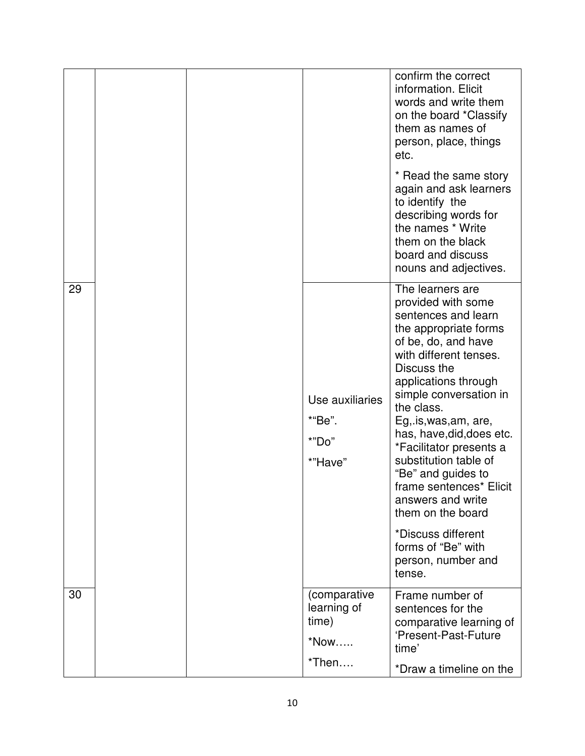|    |  |                                                       | confirm the correct<br>information. Elicit<br>words and write them<br>on the board *Classify<br>them as names of<br>person, place, things<br>etc.<br>* Read the same story<br>again and ask learners<br>to identify the<br>describing words for<br>the names * Write<br>them on the black<br>board and discuss<br>nouns and adjectives.                                                                                                                                                               |
|----|--|-------------------------------------------------------|-------------------------------------------------------------------------------------------------------------------------------------------------------------------------------------------------------------------------------------------------------------------------------------------------------------------------------------------------------------------------------------------------------------------------------------------------------------------------------------------------------|
| 29 |  | Use auxiliaries<br>*"Be".<br>*"Do"<br>*"Have"         | The learners are<br>provided with some<br>sentences and learn<br>the appropriate forms<br>of be, do, and have<br>with different tenses.<br>Discuss the<br>applications through<br>simple conversation in<br>the class.<br>Eg,.is,was,am, are,<br>has, have, did, does etc.<br>*Facilitator presents a<br>substitution table of<br>"Be" and guides to<br>frame sentences* Elicit<br>answers and write<br>them on the board<br>*Discuss different<br>forms of "Be" with<br>person, number and<br>tense. |
| 30 |  | (comparative<br>learning of<br>time)<br>*Now<br>*Then | Frame number of<br>sentences for the<br>comparative learning of<br>'Present-Past-Future<br>time'<br>*Draw a timeline on the                                                                                                                                                                                                                                                                                                                                                                           |